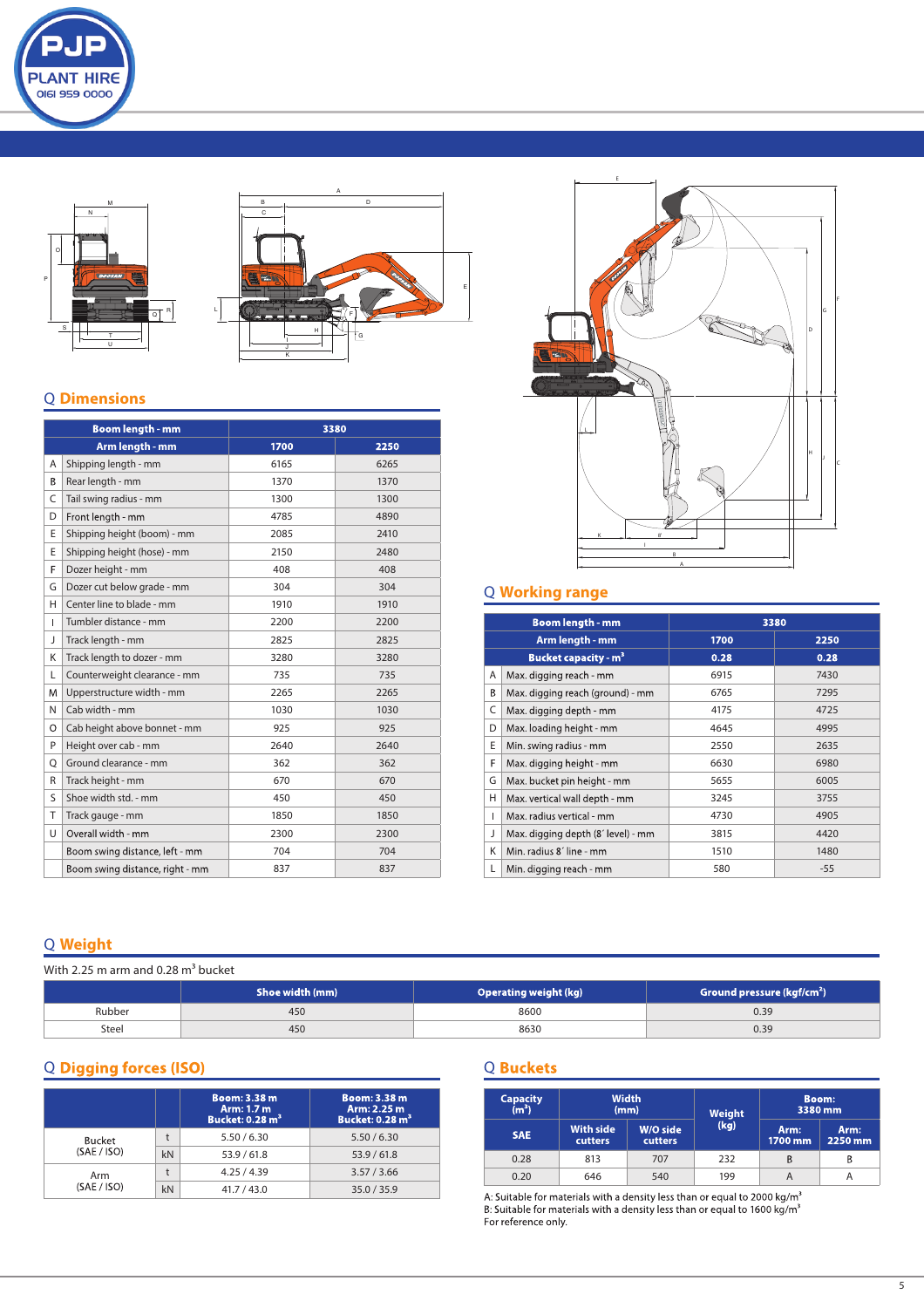





#### Q **Dimensions**

|   | <b>Boom length - mm</b>         | 3380 |      |  |  |  |  |
|---|---------------------------------|------|------|--|--|--|--|
|   | Arm length - mm                 | 1700 | 2250 |  |  |  |  |
| Α | Shipping length - mm            | 6165 | 6265 |  |  |  |  |
| B | Rear length - mm                | 1370 | 1370 |  |  |  |  |
| C | Tail swing radius - mm          | 1300 | 1300 |  |  |  |  |
| D | Front length - mm               | 4785 | 4890 |  |  |  |  |
| E | Shipping height (boom) - mm     | 2085 | 2410 |  |  |  |  |
| E | Shipping height (hose) - mm     | 2150 | 2480 |  |  |  |  |
| F | Dozer height - mm               | 408  | 408  |  |  |  |  |
| G | Dozer cut below grade - mm      | 304  | 304  |  |  |  |  |
| H | Center line to blade - mm       | 1910 | 1910 |  |  |  |  |
| T | Tumbler distance - mm           | 2200 | 2200 |  |  |  |  |
| J | Track length - mm               | 2825 | 2825 |  |  |  |  |
| K | Track length to dozer - mm      | 3280 | 3280 |  |  |  |  |
| L | Counterweight clearance - mm    | 735  | 735  |  |  |  |  |
| M | Upperstructure width - mm       | 2265 | 2265 |  |  |  |  |
| N | Cab width - mm                  | 1030 | 1030 |  |  |  |  |
| O | Cab height above bonnet - mm    | 925  | 925  |  |  |  |  |
| P | Height over cab - mm            | 2640 | 2640 |  |  |  |  |
| Q | Ground clearance - mm           | 362  | 362  |  |  |  |  |
| R | Track height - mm               | 670  | 670  |  |  |  |  |
| S | Shoe width std. - mm            | 450  | 450  |  |  |  |  |
| T | Track gauge - mm                | 1850 | 1850 |  |  |  |  |
| U | Overall width - mm              | 2300 | 2300 |  |  |  |  |
|   | Boom swing distance, left - mm  | 704  | 704  |  |  |  |  |
|   | Boom swing distance, right - mm | 837  | 837  |  |  |  |  |



#### Q **Working range**

|   | <b>Boom length - mm</b>                | 3380 |       |  |  |  |  |
|---|----------------------------------------|------|-------|--|--|--|--|
|   | Arm length - mm                        | 1700 | 2250  |  |  |  |  |
|   | <b>Bucket capacity - m<sup>3</sup></b> | 0.28 | 0.28  |  |  |  |  |
| A | Max. digging reach - mm                | 6915 | 7430  |  |  |  |  |
| В | Max. digging reach (ground) - mm       | 6765 | 7295  |  |  |  |  |
| C | Max. digging depth - mm                | 4175 | 4725  |  |  |  |  |
| D | Max. loading height - mm               | 4645 | 4995  |  |  |  |  |
| E | Min. swing radius - mm                 | 2550 | 2635  |  |  |  |  |
| F | Max. digging height - mm               | 6630 | 6980  |  |  |  |  |
| G | Max. bucket pin height - mm            | 5655 | 6005  |  |  |  |  |
| Н | Max. vertical wall depth - mm          | 3245 | 3755  |  |  |  |  |
| ı | Max. radius vertical - mm              | 4730 | 4905  |  |  |  |  |
| J | Max. digging depth (8' level) - mm     | 3815 | 4420  |  |  |  |  |
| K | Min. radius 8' line - mm               | 1510 | 1480  |  |  |  |  |
| L | Min. digging reach - mm                | 580  | $-55$ |  |  |  |  |

## Q **Weight**

With 2.25 m arm and 0.28  $m<sup>3</sup>$  bucket

|        | Shoe width (mm) | <b>Operating weight (kg)</b> | Ground pressure (kgf/cm <sup>2</sup> ) |  |  |
|--------|-----------------|------------------------------|----------------------------------------|--|--|
| Rubber | 450             | 8600                         | 0.39                                   |  |  |
| Steel  | 450             | 8630                         | 0.39                                   |  |  |

### **Q** Digging forces (ISO)

|               |    | Boom: 3.38 m<br>Arm: 1.7 m<br>Bucket: 0.28 m <sup>3</sup> | <b>Boom: 3.38 m</b><br>Arm: 2.25 m<br>Bucket: 0.28 m <sup>3</sup> |
|---------------|----|-----------------------------------------------------------|-------------------------------------------------------------------|
| <b>Bucket</b> |    | 5.50 / 6.30                                               | 5.50 / 6.30                                                       |
| (SAE / ISO)   | kN | 53.9/61.8                                                 | 53.9/61.8                                                         |
| Arm           |    | 4.25/4.39                                                 | 3.57 / 3.66                                                       |
| (SAE / ISO)   | kN | 41.7 / 43.0                                               | 35.0 / 35.9                                                       |

#### Q **Buckets**

| Capacity<br>(m <sup>3</sup> ) |                             | <b>Width</b><br>(mm)       | Weight | <b>Boom:</b><br>3380 mm |                 |  |  |
|-------------------------------|-----------------------------|----------------------------|--------|-------------------------|-----------------|--|--|
| <b>SAE</b>                    | <b>With side</b><br>cutters | W/O side<br><b>cutters</b> | (kq)   | Arm:<br>1700 mm         | Arm:<br>2250 mm |  |  |
| 0.28                          | 813                         | 707                        | 232    | B                       | В               |  |  |
| 0.20                          | 646                         | 540                        | 199    | А                       | А               |  |  |

A: Suitable for materials with a density less than or equal to 2000 kg/m<sup>3</sup> B: Suitable for materials with a density less than or equal to 1600 kg/m<sup>3</sup> For reference only.